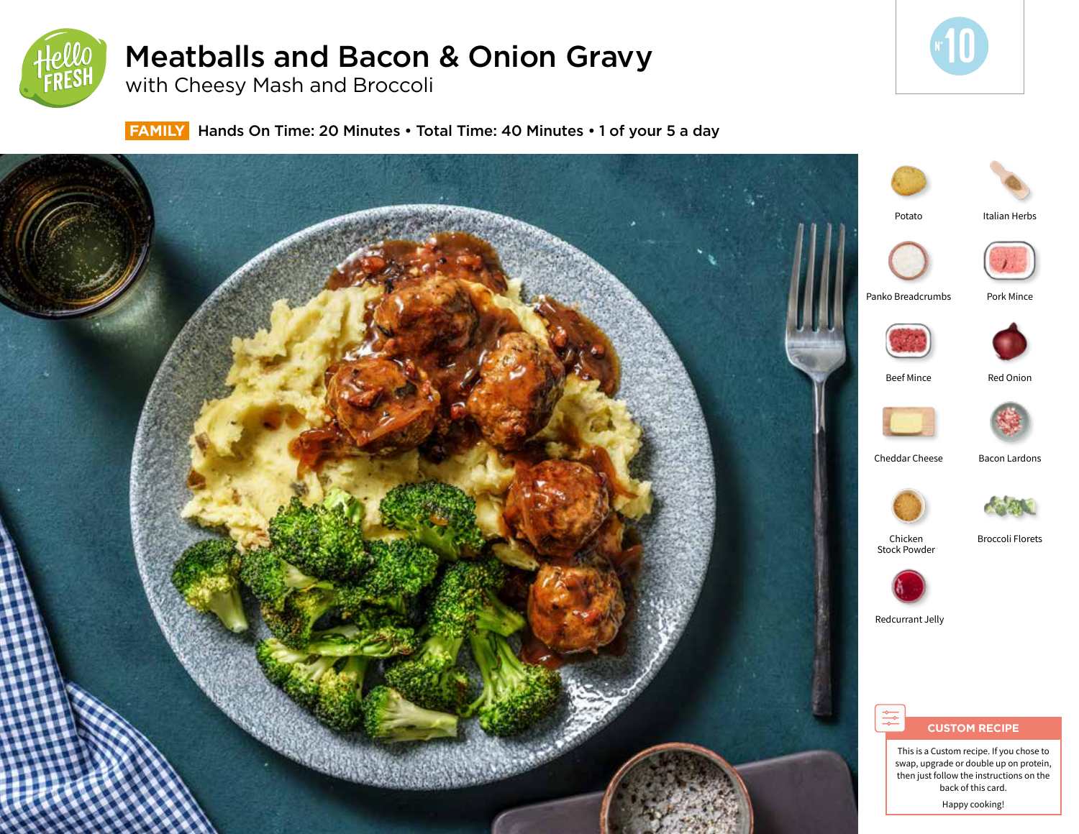

# Meatballs and Bacon & Onion Gravy

with Cheesy Mash and Broccoli



 **FAMILY** Hands On Time: 20 Minutes • Total Time: 40 Minutes • 1 of your 5 a day